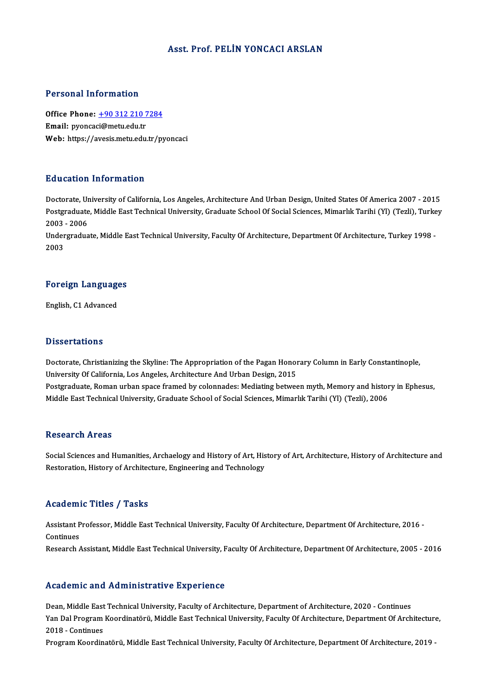### Asst. Prof. PELİN YONCACI ARSLAN

#### Personal Information

Personal Information<br>Office Phone: <u>+90 312 210 7284</u><br>Email: pyonessi@matuedu.tr Processing internation<br>Office Phone: <u>+90 312 210 7</u><br>Email: pyonca[ci@metu.edu.tr](tel:+90 312 210 7284) Office Phone: <u>+90 312 210 7284</u><br>Email: pyoncaci@metu.edu.tr<br>Web: https://avesis.metu.edu.tr/pyoncaci Web: https://avesis.metu.edu.tr/pyoncaci<br>Education Information

Doctorate, University of California, Los Angeles, Architecture And Urban Design, United States Of America 2007 - 2015 Pu d'ederen Triver Inderen<br>Doctorate, University of California, Los Angeles, Architecture And Urban Design, United States Of America 2007<br>Postgraduate, Middle East Technical University, Graduate School Of Social Sciences, Doctorate, Ur<br>Postgraduate<br>2003 - 2006<br>Undergradue Postgraduate, Middle East Technical University, Graduate School Of Social Sciences, Mimarlık Tarihi (Yl) (Tezli), Turke<br>2003 - 2006<br>Undergraduate, Middle East Technical University, Faculty Of Architecture, Department Of Ar

2003 - 2006<br>Undergraduate, Middle East Technical University, Faculty Of Architecture, Department Of Architecture, Turkey 1998 -<br>2003

## <sub>2003</sub><br>Foreign Languages F<mark>oreign Languag</mark>e<br>English, C1 Advanced

English, C1 Advanced<br>Dissertations

Dissertations<br>Doctorate, Christianizing the Skyline: The Appropriation of the Pagan Honorary Column in Early Constantinople,<br>University Of Colifornia Los Angeles, Architecture And Urban Design, 2015 University Of California, Los Angeles, Architecture And Urban Design, 2015 Doctorate, Christianizing the Skyline: The Appropriation of the Pagan Honorary Column in Early Constantinople,<br>University Of California, Los Angeles, Architecture And Urban Design, 2015<br>Postgraduate, Roman urban space fram Postgraduate, Roman urban space framed by colonnades: Mediating between myth, Memory and history in Ephesus,<br>Middle East Technical University, Graduate School of Social Sciences, Mimarlık Tarihi (Yl) (Tezli), 2006

#### **Research Areas**

Research Areas<br>Social Sciences and Humanities, Archaelogy and History of Art, History of Art, Architecture, History of Architecture and<br>Restanstion, History of Architecture, Engineering and Technology Resear en 711 cas<br>Social Sciences and Humanities, Archaelogy and History of Art, His<br>Restoration, History of Architecture, Engineering and Technology Restoration, History of Architecture, Engineering and Technology<br>Academic Titles / Tasks

Academic Titles / Tasks<br>Assistant Professor, Middle East Technical University, Faculty Of Architecture, Department Of Architecture, 2016 -<br>Continues Assistant P<br>Continues<br>Pesearch Continues<br>Research Assistant, Middle East Technical University, Faculty Of Architecture, Department Of Architecture, 2005 - 2016

## Academic and Administrative Experience

Dean, Middle East Technical University, Faculty of Architecture, Department of Architecture, 2020 - Continues Yeddemie dha Namimisti derve Enperience<br>Dean, Middle East Technical University, Faculty of Architecture, Department of Architecture, 2020 - Continues<br>Yan Dal Program Koordinatörü, Middle East Technical University, Faculty Dean, Middle East<br>Yan Dal Program<br>2018 - Continues<br>Program Koordin Yan Dal Program Koordinatörü, Middle East Technical University, Faculty Of Architecture, Department Of Architectur<br>2018 - Continues<br>Program Koordinatörü, Middle East Technical University, Faculty Of Architecture, Departmen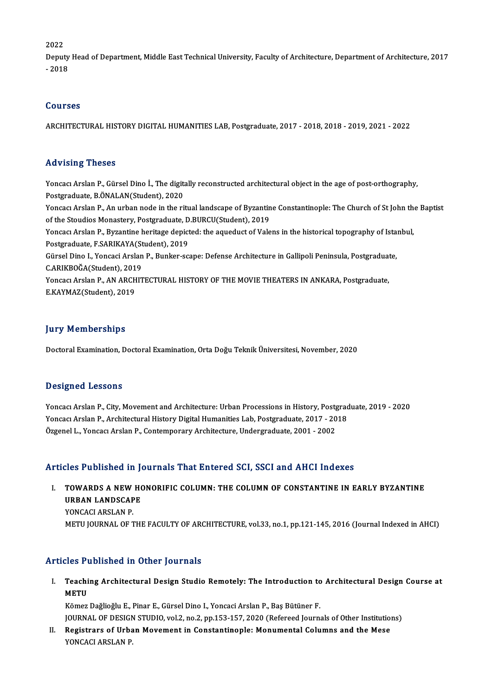#### 2022

2022<br>Deputy Head of Department, Middle East Technical University, Faculty of Architecture, Department of Architecture, 2017<br>\_2018 2022<br>Deputy<br>- 2018 - 2018<br>Courses

ARCHITECTURALHISTORYDIGITALHUMANITIES LAB,Postgraduate,2017 -2018,2018 -2019,2021 -2022

### Advising Theses

Advising Theses<br>Yoncacı Arslan P., Gürsel Dino İ., The digitally reconstructed architectural object in the age of post-orthography,<br>Restanaduata B.ÖNALAN(Student), 2020 raa vising 1 neses<br>Yoncacı Arslan P., Gürsel Dino İ., The digit:<br>Postgraduate, B.ÖNALAN(Student), 2020<br>Yongag Arslan P. An urban node in the rii Yoncacı Arslan P., Gürsel Dino İ., The digitally reconstructed architectural object in the age of post-orthography,<br>Postgraduate, B.ÖNALAN(Student), 2020<br>Yoncacı Arslan P., An urban node in the ritual landscape of Byzantin Postgraduate, B.ÖNALAN(Student), 2020<br>Yoncacı Arslan P., An urban node in the ritual landscape of Byzantin<br>of the Stoudios Monastery, Postgraduate, D.BURCU(Student), 2019<br>Yongagı Arslan B. Bygantine beritage depisted: the Yoncacı Arslan P., An urban node in the ritual landscape of Byzantine Constantinople: The Church of St John th<br>of the Stoudios Monastery, Postgraduate, D.BURCU(Student), 2019<br>Yoncacı Arslan P., Byzantine heritage depicted: of the Stoudios Monastery, Postgraduate, D.BURCU(Student), 2019 Yoncacı Arslan P., Byzantine heritage depicted: the aqueduct of Valens in the historical topography of Istanbul,<br>Postgraduate, F.SARIKAYA(Student), 2019<br>Gürsel Dino I., Yoncaci Arslan P., Bunker-scape: Defense Architecture Postgraduate, F.SARIKAYA(Student), 2019 Gürsel Dino I., Yoncaci Arslan P., Bunker-scape: Defense Architecture in Gallipoli Peninsula, Postgraduate,<br>C.ARIKBOĞA(Student), 2019<br>Yoncacı Arslan P., AN ARCHITECTURAL HISTORY OF THE MOVIE THEATERS IN ANKARA, Postgraduat Yoncacı Arslan P., AN ARCHITECTURAL HISTORY OF THE MOVIE THEATERS IN ANKARA, Postgraduate,

## **Jury Memberships**

DoctoralExamination,DoctoralExamination,OrtaDoğuTeknikÜniversitesi,November,2020

## Designed Lessons

Designed Lessons<br>Yoncacı Arslan P., City, Movement and Architecture: Urban Processions in History, Postgraduate, 2019 - 2020<br>Yongası Arslan B. Arshitestural History Distal Humanities Lab. Postsraduate, 2017 - 2019 Yoncacı Arslan P., City, Movement and Architecture: Urban Processions in History, Postgrad<br>Yoncacı Arslan P., Architectural History Digital Humanities Lab, Postgraduate, 2017 - 2018<br>Özgənel L. Yoncacı Arslan B. Contemporar Yoncacı Arslan P., City, Movement and Architecture: Urban Processions in History, Postg<br>Yoncacı Arslan P., Architectural History Digital Humanities Lab, Postgraduate, 2017 - 20<br>Özgenel L., Yoncacı Arslan P., Contemporary A

## Özgenel L., Yoncacı Arslan P., Contemporary Architecture, Undergraduate, 2001 - 2002<br>Articles Published in Journals That Entered SCI, SSCI and AHCI Indexes

rticles Published in Journals That Entered SCI, SSCI and AHCI Indexes<br>I. TOWARDS A NEW HONORIFIC COLUMN: THE COLUMN OF CONSTANTINE IN EARLY BYZANTINE TOWARDS A NEW HOURBAN LANDSCAPE<br>VONGACI ABSI AN P **TOWARDS A NEW<br>URBAN LANDSCAP<br>YONCACI ARSLAN P.<br>METU JOUPNAL OF T** URBAN LANDSCAPE<br>YONCACI ARSLAN P.<br>METU JOURNAL OF THE FACULTY OF ARCHITECTURE, vol.33, no.1, pp.121-145, 2016 (Journal Indexed in AHCI)

## Articles Published in Other Journals

I. Ticles Published in Other Journals<br>I. Teaching Architectural Design Studio Remotely: The Introduction to Architectural Design Course at<br>METU nos 1<br>Teachi<br>METU<br><sup>Kämer</sup> Teaching Architectural Design Studio Remotely: The Introduction to<br>METU<br>Kömez Dağlioğlu E., Pinar E., Gürsel Dino I., Yoncaci Arslan P., Baş Bütüner F.<br>JOUPMAL OF DESICN STUDIO val 2 no 2 nn 152 157 2020 (Befereed Journ

METU<br>Kömez Dağlioğlu E., Pinar E., Gürsel Dino I., Yoncaci Arslan P., Baş Bütüner F.<br>JOURNAL OF DESIGN STUDIO, vol.2, no.2, pp.153-157, 2020 (Refereed Journals of Other Institutions) Kömez Dağlioğlu E., Pinar E., Gürsel Dino I., Yoncaci Arslan P., Baş Bütüner F.<br>JOURNAL OF DESIGN STUDIO, vol.2, no.2, pp.153-157, 2020 (Refereed Journals of Other Institution<br>II. Registrars of Urban Movement in Constantin

JOURNAL OF DESIGN<br><mark>Registrars of Urba</mark><br>YONCACI ARSLAN P.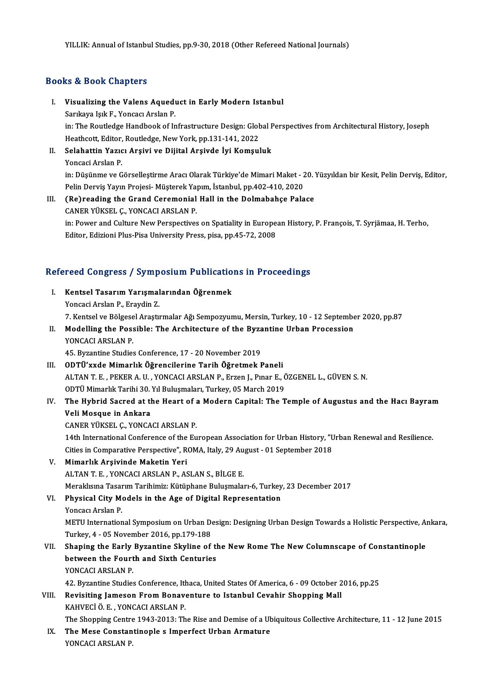YILLIK: Annual of Istanbul Studies, pp.9-30, 2018 (Other Refereed National Journals)

## Books&Book Chapters

- I. Visualizing the Valens Aqueduct in Early Modern Istanbul Sarıkaya Işık F., Yoncacı Arslan P. Visualizing the Valens Aqueduct in Early Modern Istanbul<br>Sarıkaya Işık F., Yoncacı Arslan P.<br>in: The Routledge Handbook of Infrastructure Design: Global Perspectives from Architectural History, Joseph<br>Heathsett Editor Pout Sarıkaya Işık F., Yoncacı Arslan P.<br>in: The Routledge Handbook of Infrastructure Design: Glob<br>Heathcott, Editor, Routledge, New York, pp.131-141, 2022<br>Selabattin Yazısı, Arsiyi ve Dijital Arsiyde İyi Komsul in: The Routledge Handbook of Infrastructure Design: Global F<br>Heathcott, Editor, Routledge, New York, pp.131-141, 2022<br>II. Selahattin Yazıcı Arşivi ve Dijital Arşivde İyi Komşuluk<br>Yonçoci Arslan P
- Heathcott, Editor, Routledge, New York, pp.131-141, 2022<br>Selahattin Yazıcı Arşivi ve Dijital Arşivde İyi Komşuluk<br>Yoncaci Arslan P. Selahattin Yazıcı Arşivi ve Dijital Arşivde İyi Komşuluk<br>Yoncaci Arslan P.<br>in: Düşünme ve Görselleştirme Aracı Olarak Türkiye'de Mimari Maket - 20. Yüzyıldan bir Kesit, Pelin Derviş, Editor,<br>Pelin Derviş Yayın Prejesi, Müs Yoncaci Arslan P.<br>in: Düşünme ve Görselleştirme Aracı Olarak Türkiye'de Mimari Maket - 2<br>Pelin Derviş Yayın Projesi- Müşterek Yapım, İstanbul, pp.402-410, 2020<br>(Ro)reading the Crand Coromonial Hall in the Dolmababas Bala in: Düşünme ve Görselleştirme Aracı Olarak Türkiye'de Mimari Maket - 20.<br>Pelin Derviş Yayın Projesi- Müşterek Yapım, İstanbul, pp.402-410, 2020<br>III. (Re)reading the Grand Ceremonial Hall in the Dolmabahçe Palace<br>CANER VÜKE
- Pelin Derviş Yayın Projesi- Müşterek Ya<br>(Re)reading the Grand Ceremonial<br>CANER YÜKSEL Ç., YONCACI ARSLAN P.<br>in: Beyrer and Culture New Berenestiyes (Re)reading the Grand Ceremonial Hall in the Dolmabahçe Palace<br>CANER YÜKSEL Ç., YONCACI ARSLAN P.<br>in: Power and Culture New Perspectives on Spatiality in European History, P. François, T. Syrjämaa, H. Terho,<br>Editor Edizion CANER YÜKSEL Ç., YONCACI ARSLAN P.<br>in: Power and Culture New Perspectives on Spatiality in Europe<br>Editor, Edizioni Plus-Pisa University Press, pisa, pp.45-72, 2008

# editor, Edizioni Pius-Pisa University Press, pisa, pp.45-72, 2008<br>Refereed Congress / Symposium Publications in Proceedings

| Refereed Congress / Symposium Publications in Proceedings |                                                                                                                                                          |
|-----------------------------------------------------------|----------------------------------------------------------------------------------------------------------------------------------------------------------|
| I.                                                        | Kentsel Tasarım Yarışmalarından Öğrenmek                                                                                                                 |
|                                                           | Yoncaci Arslan P., Eraydin Z.                                                                                                                            |
|                                                           | 7. Kentsel ve Bölgesel Araştırmalar Ağı Sempozyumu, Mersin, Turkey, 10 - 12 September 2020, pp.87                                                        |
| П.                                                        | Modelling the Possible: The Architecture of the Byzantine Urban Procession<br>YONCACI ARSLAN P.                                                          |
|                                                           | 45. Byzantine Studies Conference, 17 - 20 November 2019                                                                                                  |
| III.                                                      | ODTÜ'xxde Mimarlık Öğrencilerine Tarih Öğretmek Paneli                                                                                                   |
|                                                           | ALTAN T. E., PEKER A. U., YONCACI ARSLAN P., Erzen J., Pınar E., ÖZGENEL L., GÜVEN S. N.                                                                 |
|                                                           | ODTÜ Mimarlık Tarihi 30. Yıl Buluşmaları, Turkey, 05 March 2019                                                                                          |
| IV.                                                       | The Hybrid Sacred at the Heart of a Modern Capital: The Temple of Augustus and the Hacı Bayram                                                           |
|                                                           | Veli Mosque in Ankara                                                                                                                                    |
|                                                           | CANER YÜKSEL Ç., YONCACI ARSLAN P.                                                                                                                       |
|                                                           | 14th International Conference of the European Association for Urban History, "Urban Renewal and Resilience.                                              |
|                                                           | Cities in Comparative Perspective", ROMA, Italy, 29 August - 01 September 2018                                                                           |
| V.                                                        | Mimarlık Arşivinde Maketin Yeri                                                                                                                          |
|                                                           | ALTAN T. E., YONCACI ARSLAN P., ASLAN S., BİLGE E.                                                                                                       |
|                                                           | Meraklısına Tasarım Tarihimiz: Kütüphane Buluşmaları-6, Turkey, 23 December 2017                                                                         |
| VI.                                                       | Physical City Models in the Age of Digital Representation                                                                                                |
|                                                           | Yoncacı Arslan P                                                                                                                                         |
|                                                           | METU International Symposium on Urban Design: Designing Urban Design Towards a Holistic Perspective, Ankara,<br>Turkey, 4 - 05 November 2016, pp 179-188 |
| VII.                                                      | Shaping the Early Byzantine Skyline of the New Rome The New Columnscape of Constantinople                                                                |
|                                                           | between the Fourth and Sixth Centuries                                                                                                                   |
|                                                           | YONCACI ARSLAN P                                                                                                                                         |
|                                                           | 42. Byzantine Studies Conference, Ithaca, United States Of America, 6 - 09 October 2016, pp.25                                                           |
| VIII.                                                     | Revisiting Jameson From Bonaventure to Istanbul Cevahir Shopping Mall                                                                                    |
|                                                           | KAHVECİ Ö. E., YONCACI ARSLAN P.                                                                                                                         |
|                                                           | The Shopping Centre 1943-2013: The Rise and Demise of a Ubiquitous Collective Architecture, 11 - 12 June 2015                                            |
| IX.                                                       | The Mese Constantinople s Imperfect Urban Armature                                                                                                       |
|                                                           | YONCACI ARSLAN P.                                                                                                                                        |